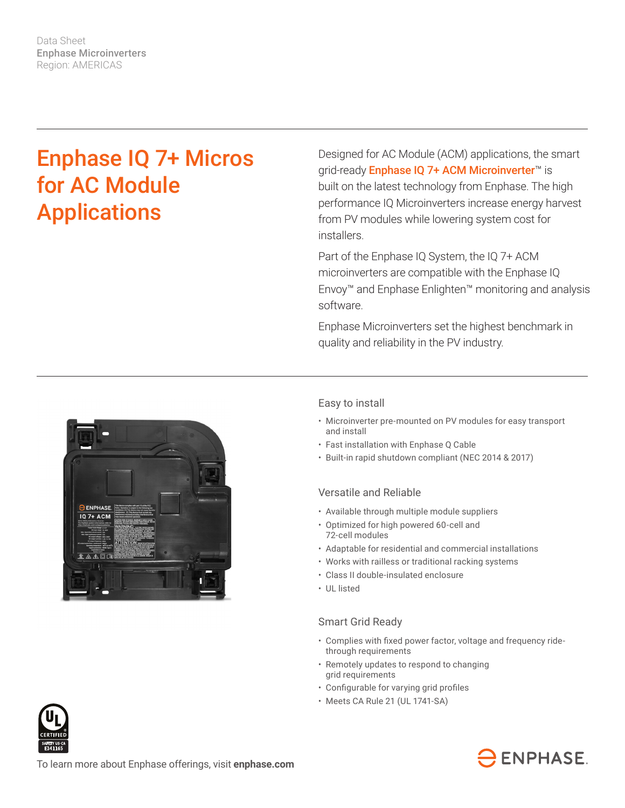Data Sheet Enphase Microinverters Region: AMERICAS

# Enphase IQ 7+ Micros for AC Module Applications

Designed for AC Module (ACM) applications, the smart grid-ready Enphase IQ 7+ ACM Microinverter<sup>™</sup> is built on the latest technology from Enphase. The high performance IQ Microinverters increase energy harvest from PV modules while lowering system cost for installers.

Part of the Enphase IQ System, the IQ 7+ ACM microinverters are compatible with the Enphase IQ Envoy™ and Enphase Enlighten™ monitoring and analysis software.

Enphase Microinverters set the highest benchmark in quality and reliability in the PV industry.



## Easy to install

- Microinverter pre-mounted on PV modules for easy transport and install
- Fast installation with Enphase Q Cable
- Built-in rapid shutdown compliant (NEC 2014 & 2017)

#### Versatile and Reliable

- Available through multiple module suppliers
- Optimized for high powered 60-cell and 72-cell modules
- Adaptable for residential and commercial installations
- Works with railless or traditional racking systems
- Class II double-insulated enclosure
- UL listed

### Smart Grid Ready

- • Complies with fixed power factor, voltage and frequency ridethrough requirements
- Remotely updates to respond to changing grid requirements
- • Configurable for varying grid profiles
- Meets CA Rule 21 (UL 1741-SA)